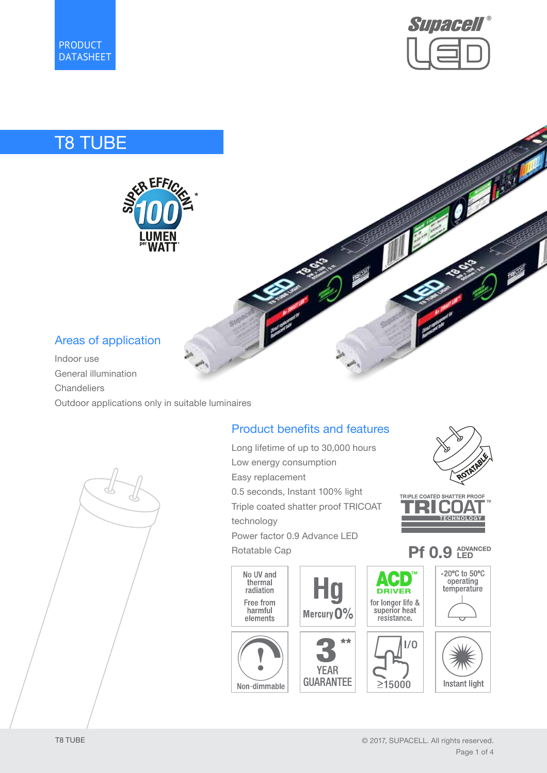



Ø

# T8 TUBE



## Areas of application

Indoor use General illumination **Chandeliers** Outdoor applications only in suitable luminaires



## Product benefits and features

Long lifetime of up to 30,000 hours Low energy consumption Easy replacement 0.5 seconds, Instant 100% light Triple coated shatter proof TRICOAT technology Power factor 0.9 Advance LED Rotatable Cap No UV and AV D thermal Hg radiation Free from harmful Mercury 0% elements

Non-dimmable



**TECHNOLOGY** 

#### **ADVANCED**<br>**LED Pf 0.9**

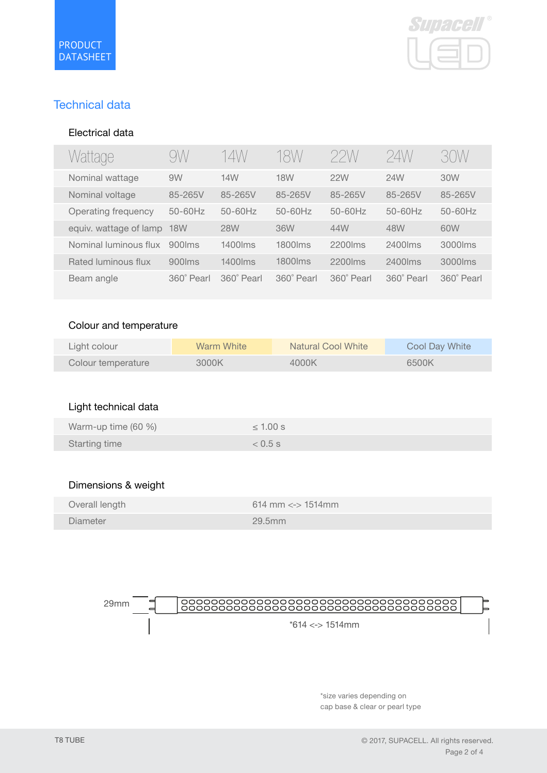

## Technical data

#### Electrical data

| Wattage                | 9W                       | 14W        | 18W        | 22W        | 24W        | 30 W       |
|------------------------|--------------------------|------------|------------|------------|------------|------------|
| Nominal wattage        | 9W                       | 14W        | <b>18W</b> | 22W        | 24W        | 30W        |
| Nominal voltage        | 85-265V                  | 85-265V    | 85-265V    | 85-265V    | 85-265V    | 85-265V    |
| Operating frequency    | $50-60$ Hz               | $50-60Hz$  | $50-60Hz$  | $50-60Hz$  | $50-60Hz$  | $50-60Hz$  |
| equiv. wattage of lamp | <b>18W</b>               | <b>28W</b> | 36W        | 44W        | 48W        | 60W        |
| Nominal luminous flux  | $900$ $\text{m}\text{s}$ | 1400 lms   | 1800 lms   | 2200 lms   | 2400 lms   | 3000 lms   |
| Rated luminous flux    | $900$ lms                | $1400$ lms | 1800 lms   | $2200$ lms | $2400$ lms | 3000 lms   |
| Beam angle             | 360° Pearl               | 360° Pearl | 360° Pearl | 360° Pearl | 360° Pearl | 360° Pearl |

#### Colour and temperature

| Light colour       | Warm White | <b>Natural Cool White</b> | Cool Day White |
|--------------------|------------|---------------------------|----------------|
| Colour temperature | 3000K      | 4000K                     | 6500K          |

## Light technical data

| Warm-up time (60 %)  | $\leq 1.00$ s |
|----------------------|---------------|
| <b>Starting time</b> | $< 0.5$ s     |

#### Dimensions & weight

| Overall length | $614 \text{ mm} \leq 514 \text{ mm}$ |
|----------------|--------------------------------------|
| Diameter       | 29.5mm                               |



\*size varies depending on cap base & clear or pearl type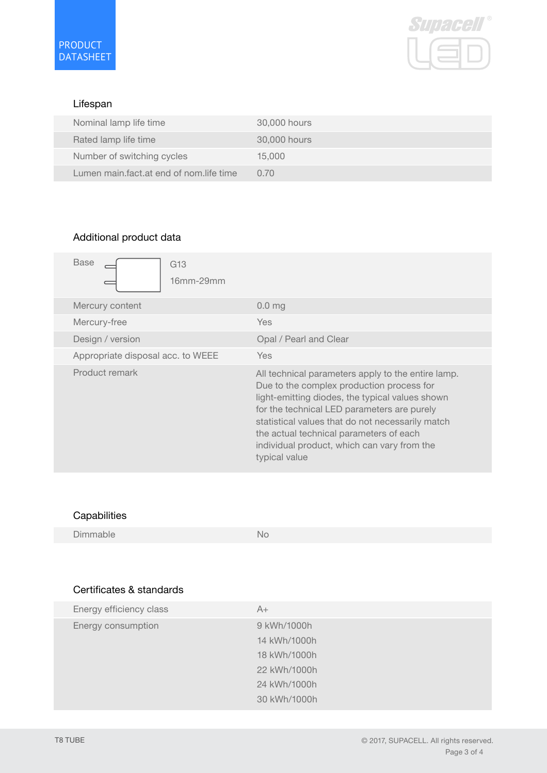

#### Lifespan

| Nominal lamp life time                  | 30,000 hours |
|-----------------------------------------|--------------|
| Rated lamp life time                    | 30,000 hours |
| Number of switching cycles              | 15,000       |
| Lumen main fact at end of nom life time | 0.70         |

### Additional product data

| Base<br>G <sub>13</sub><br>16mm-29mm |                                                                                                                                                                                                                                                                                                                                                                  |
|--------------------------------------|------------------------------------------------------------------------------------------------------------------------------------------------------------------------------------------------------------------------------------------------------------------------------------------------------------------------------------------------------------------|
| Mercury content                      | 0.0 <sub>mg</sub>                                                                                                                                                                                                                                                                                                                                                |
| Mercury-free                         | <b>Yes</b>                                                                                                                                                                                                                                                                                                                                                       |
| Design / version                     | Opal / Pearl and Clear                                                                                                                                                                                                                                                                                                                                           |
| Appropriate disposal acc. to WEEE    | Yes                                                                                                                                                                                                                                                                                                                                                              |
| Product remark                       | All technical parameters apply to the entire lamp.<br>Due to the complex production process for<br>light-emitting diodes, the typical values shown<br>for the technical LED parameters are purely<br>statistical values that do not necessarily match<br>the actual technical parameters of each<br>individual product, which can vary from the<br>typical value |

### **Capabilities**

Dimmable No

### Certificates & standards

| Energy efficiency class | $A+$         |
|-------------------------|--------------|
| Energy consumption      | 9 kWh/1000h  |
|                         | 14 kWh/1000h |
|                         | 18 kWh/1000h |
|                         | 22 kWh/1000h |
|                         | 24 kWh/1000h |
|                         | 30 kWh/1000h |